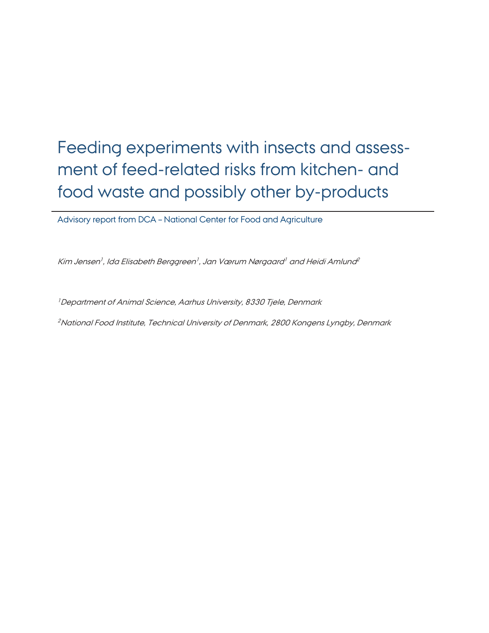# Feeding experiments with insects and assessment of feed-related risks from kitchen- and food waste and possibly other by-products

Advisory report from DCA – National Center for Food and Agriculture

Kim Jensen<sup>1</sup>, Ida Elisabeth Berggreen<sup>1</sup>, Jan Værum Nørgaard<sup>1</sup> and Heidi Amlund<sup>2</sup>

<sup>1</sup> Department of Animal Science, Aarhus University, 8330 Tjele, Denmark

<sup>2</sup>National Food Institute, Technical University of Denmark, 2800 Kongens Lyngby, Denmark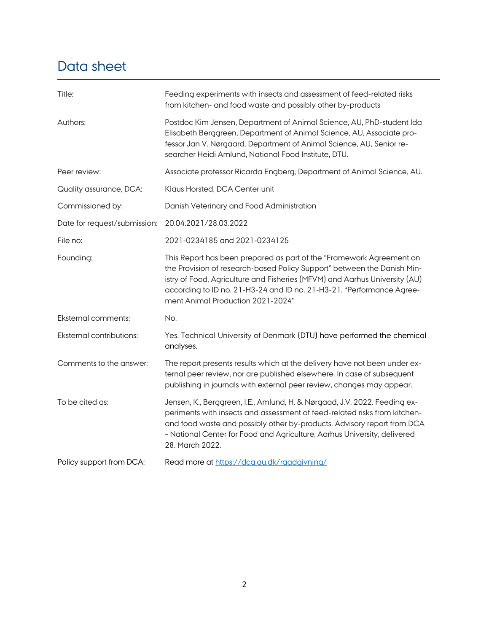# Data sheet

| Title:                          | Feeding experiments with insects and assessment of feed-related risks<br>from kitchen- and food waste and possibly other by-products                                                                                                                                                                                                        |
|---------------------------------|---------------------------------------------------------------------------------------------------------------------------------------------------------------------------------------------------------------------------------------------------------------------------------------------------------------------------------------------|
| Authors:                        | Postdoc Kim Jensen, Department of Animal Science, AU, PhD-student Ida<br>Elisabeth Berggreen, Department of Animal Science, AU, Associate pro-<br>fessor Jan V. Nørgaard, Department of Animal Science, AU, Senior re-<br>searcher Heidi Amlund, National Food Institute, DTU.                                                              |
| Peer review:                    | Associate professor Ricarda Engberg, Department of Animal Science, AU.                                                                                                                                                                                                                                                                      |
| Quality assurance, DCA:         | Klaus Horsted, DCA Center unit                                                                                                                                                                                                                                                                                                              |
| Commissioned by:                | Danish Veterinary and Food Administration                                                                                                                                                                                                                                                                                                   |
| Date for request/submission:    | 20.04.2021/28.03.2022                                                                                                                                                                                                                                                                                                                       |
| File no:                        | 2021-0234185 and 2021-0234125                                                                                                                                                                                                                                                                                                               |
| Founding:                       | This Report has been prepared as part of the "Framework Agreement on<br>the Provision of research-based Policy Support" between the Danish Min-<br>istry of Food, Agriculture and Fisheries (MFVM) and Aarhus University (AU)<br>according to ID no. 21-H3-24 and ID no. 21-H3-21. "Performance Agree-<br>ment Animal Production 2021-2024" |
| <b>Eksternal comments:</b>      | No.                                                                                                                                                                                                                                                                                                                                         |
| <b>Eksternal contributions:</b> | Yes. Technical University of Denmark (DTU) have performed the chemical<br>analyses.                                                                                                                                                                                                                                                         |
| Comments to the answer:         | The report presents results which at the delivery have not been under ex-<br>ternal peer review, nor are published elsewhere. In case of subsequent<br>publishing in journals with external peer review, changes may appear.                                                                                                                |
| To be cited as:                 | Jensen, K., Berggreen, I.E., Amlund, H. & Nørgaad, J.V. 2022. Feeding ex-<br>periments with insects and assessment of feed-related risks from kitchen-<br>and food waste and possibly other by-products. Advisory report from DCA<br>- National Center for Food and Agriculture, Aarhus University, delivered<br>28. March 2022.            |
| Policy support from DCA:        | Read more at https://dca.au.dk/raadgivning/                                                                                                                                                                                                                                                                                                 |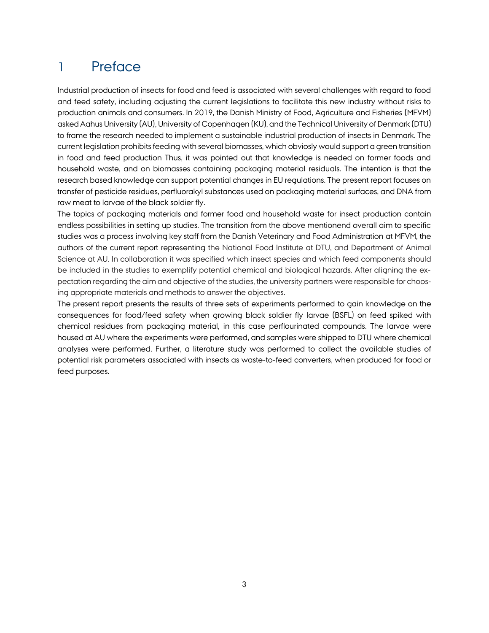## 1 Preface

Industrial production of insects for food and feed is associated with several challenges with regard to food and feed safety, including adjusting the current legislations to facilitate this new industry without risks to production animals and consumers. In 2019, the Danish Ministry of Food, Agriculture and Fisheries (MFVM) asked Aahus University (AU), University of Copenhagen (KU), and the Technical University of Denmark (DTU) to frame the research needed to implement a sustainable industrial production of insects in Denmark. The current legislation prohibits feeding with several biomasses, which obviosly would support a green transition in food and feed production Thus, it was pointed out that knowledge is needed on former foods and household waste, and on biomasses containing packaging material residuals. The intention is that the research based knowledge can support potential changes in EU regulations. The present report focuses on transfer of pesticide residues, perfluorakyl substances used on packaging material surfaces, and DNA from raw meat to larvae of the black soldier fly.

The topics of packaging materials and former food and household waste for insect production contain endless possibilities in setting up studies. The transition from the above mentionend overall aim to specific studies was a process involving key staff from the Danish Veterinary and Food Administration at MFVM, the authors of the current report representing the National Food Institute at DTU, and Department of Animal Science at AU. In collaboration it was specified which insect species and which feed components should be included in the studies to exemplify potential chemical and biological hazards. After aligning the expectation regarding the aim and objective of the studies, the university partners were responsible for choosing appropriate materials and methods to answer the objectives.

The present report presents the results of three sets of experiments performed to gain knowledge on the consequences for food/feed safety when growing black soldier fly larvae (BSFL) on feed spiked with chemical residues from packaging material, in this case perflourinated compounds. The larvae were housed at AU where the experiments were performed, and samples were shipped to DTU where chemical analyses were performed. Further, a literature study was performed to collect the available studies of potential risk parameters associated with insects as waste-to-feed converters, when produced for food or feed purposes.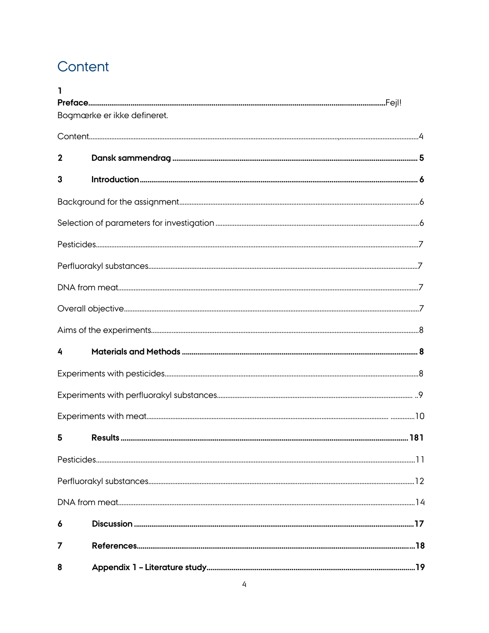# <span id="page-3-0"></span>Content

| ٦           |                             |  |
|-------------|-----------------------------|--|
|             | Bogmærke er ikke defineret. |  |
|             |                             |  |
|             |                             |  |
| $\mathbf 2$ |                             |  |
| 3           |                             |  |
|             |                             |  |
|             |                             |  |
|             |                             |  |
|             |                             |  |
|             |                             |  |
|             |                             |  |
|             |                             |  |
| 4           |                             |  |
|             |                             |  |
|             |                             |  |
|             |                             |  |
| 5           |                             |  |
|             |                             |  |
|             |                             |  |
|             |                             |  |
| 6           |                             |  |
| 7           |                             |  |
| 8           |                             |  |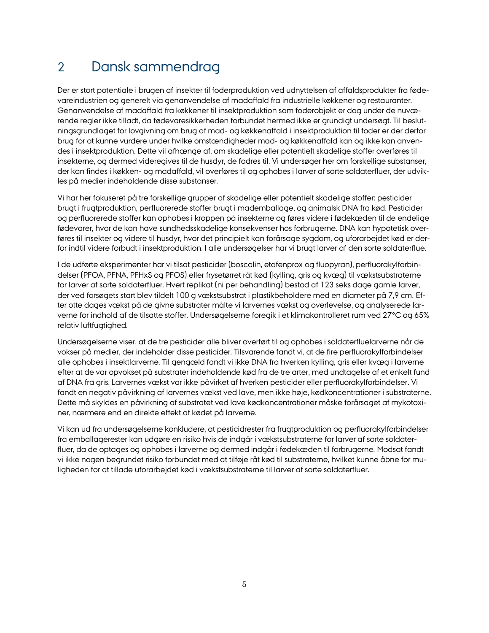## 2 Dansk sammendrag

Der er stort potentiale i brugen af insekter til foderproduktion ved udnyttelsen af affaldsprodukter fra fødevareindustrien og generelt via genanvendelse af madaffald fra industrielle køkkener og restauranter. Genanvendelse af madaffald fra køkkener til insektproduktion som foderobjekt er dog under de nuværende regler ikke tilladt, da fødevaresikkerheden forbundet hermed ikke er grundigt undersøgt. Til beslutningsgrundlaget for lovgivning om brug af mad- og køkkenaffald i insektproduktion til foder er der derfor brug for at kunne vurdere under hvilke omstændigheder mad- og køkkenaffald kan og ikke kan anvendes i insektproduktion. Dette vil afhænge af, om skadelige eller potentielt skadelige stoffer overføres til insekterne, og dermed videregives til de husdyr, de fodres til. Vi undersøger her om forskellige substanser, der kan findes i køkken- og madaffald, vil overføres til og ophobes i larver af sorte soldaterfluer, der udvikles på medier indeholdende disse substanser.

Vi har her fokuseret på tre forskellige grupper af skadelige eller potentielt skadelige stoffer: pesticider brugt i frugtproduktion, perfluorerede stoffer brugt i mademballage, og animalsk DNA fra kød. Pesticider og perfluorerede stoffer kan ophobes i kroppen på insekterne og føres videre i fødekæden til de endelige fødevarer, hvor de kan have sundhedsskadelige konsekvenser hos forbrugerne. DNA kan hypotetisk overføres til insekter og videre til husdyr, hvor det principielt kan forårsage sygdom, og uforarbejdet kød er derfor indtil videre forbudt i insektproduktion. I alle undersøgelser har vi brugt larver af den sorte soldaterflue.

I de udførte eksperimenter har vi tilsat pesticider (boscalin, etofenprox og fluopyran), perfluorakylforbindelser (PFOA, PFNA, PFHxS og PFOS) eller frysetørret råt kød (kylling, gris og kvæg) til vækstsubstraterne for larver af sorte soldaterfluer. Hvert replikat (ni per behandling) bestod af 123 seks dage gamle larver, der ved forsøgets start blev tildelt 100 g vækstsubstrat i plastikbeholdere med en diameter på 7,9 cm. Efter otte dages vækst på de givne substrater målte vi larvernes vækst og overlevelse, og analyserede larverne for indhold af de tilsatte stoffer. Undersøgelserne foregik i et klimakontrolleret rum ved 27°C og 65% relativ luftfugtighed.

Undersøgelserne viser, at de tre pesticider alle bliver overført til og ophobes i soldaterfluelarverne når de vokser på medier, der indeholder disse pesticider. Tilsvarende fandt vi, at de fire perfluorakylforbindelser alle ophobes i insektlarverne. Til gengæld fandt vi ikke DNA fra hverken kylling, gris eller kvæg i larverne efter at de var opvokset på substrater indeholdende kød fra de tre arter, med undtagelse af et enkelt fund af DNA fra gris. Larvernes vækst var ikke påvirket af hverken pesticider eller perfluorakylforbindelser. Vi fandt en negativ påvirkning af larvernes vækst ved lave, men ikke høje, kødkoncentrationer i substraterne. Dette må skyldes en påvirkning af substratet ved lave kødkoncentrationer måske forårsaget af mykotoxiner, nærmere end en direkte effekt af kødet på larverne.

Vi kan ud fra undersøgelserne konkludere, at pesticidrester fra frugtproduktion og perfluorakylforbindelser fra emballagerester kan udgøre en risiko hvis de indgår i vækstsubstraterne for larver af sorte soldaterfluer, da de optages og ophobes i larverne og dermed indgår i fødekæden til forbrugerne. Modsat fandt vi ikke nogen begrundet risiko forbundet med at tilføje råt kød til substraterne, hvilket kunne åbne for muligheden for at tillade uforarbejdet kød i vækstsubstraterne til larver af sorte soldaterfluer.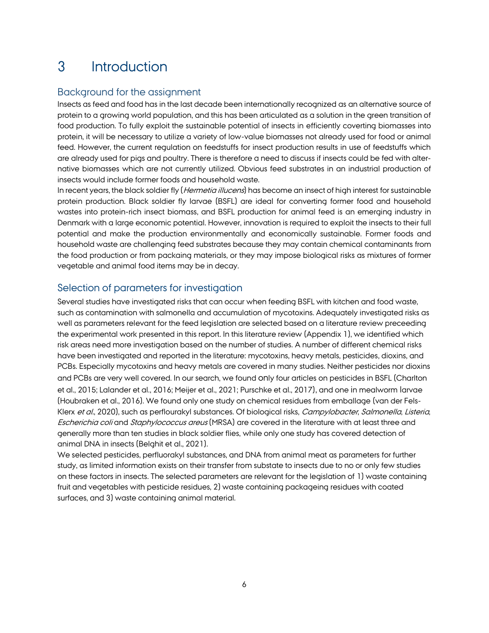## <span id="page-5-0"></span>3 Introduction

## Background for the assignment

Insects as feed and food has in the last decade been internationally recognized as an alternative source of protein to a growing world population, and this has been articulated as a solution in the green transition of food production. To fully exploit the sustainable potential of insects in efficiently coverting biomasses into protein, it will be necessary to utilize a variety of low-value biomasses not already used for food or animal feed. However, the current regulation on feedstuffs for insect production results in use of feedstuffs which are already used for pigs and poultry. There is therefore a need to discuss if insects could be fed with alternative biomasses which are not currently utilized. Obvious feed substrates in an industrial production of insects would include former foods and household waste.

In recent years, the black soldier fly (*Hermetia illucens*) has become an insect of high interest for sustainable protein production. Black soldier fly larvae (BSFL) are ideal for converting former food and household wastes into protein-rich insect biomass, and BSFL production for animal feed is an emerging industry in Denmark with a large economic potential. However, innovation is required to exploit the insects to their full potential and make the production environmentally and economically sustainable. Former foods and household waste are challenging feed substrates because they may contain chemical contaminants from the food production or from packaing materials, or they may impose biological risks as mixtures of former vegetable and animal food items may be in decay.

## <span id="page-5-1"></span>Selection of parameters for investigation

Several studies have investigated risks that can occur when feeding BSFL with kitchen and food waste, such as contamination with salmonella and accumulation of mycotoxins. Adequately investigated risks as well as parameters relevant for the feed legislation are selected based on a literature review preceeding the experimental work presented in this report. In this literature review (Appendix 1), we identified which risk areas need more investigation based on the number of studies. A number of different chemical risks have been investigated and reported in the literature: mycotoxins, heavy metals, pesticides, dioxins, and PCBs. Especially mycotoxins and heavy metals are covered in many studies. Neither pesticides nor dioxins and PCBs are very well covered. In our search, we found only four articles on pesticides in BSFL (Charlton et al., 2015; Lalander et al., 2016; Meijer et al., 2021; Purschke et al., 2017), and one in mealworm larvae (Houbraken et al., 2016). We found only one study on chemical residues from emballage (van der Fels-Klerx et al., 2020), such as perflourakyl substances. Of biological risks, Campylobacter, Salmonella, Listeria, Escherichia coli and Staphylococcus areus (MRSA) are covered in the literature with at least three and generally more than ten studies in black soldier flies, while only one study has covered detection of animal DNA in insects (Belghit et al., 2021).

We selected pesticides, perfluorakyl substances, and DNA from animal meat as parameters for further study, as limited information exists on their transfer from substate to insects due to no or only few studies on these factors in insects. The selected parameters are relevant for the legislation of 1) waste containing fruit and vegetables with pesticide residues, 2) waste containing packageing residues with coated surfaces, and 3) waste containing animal material.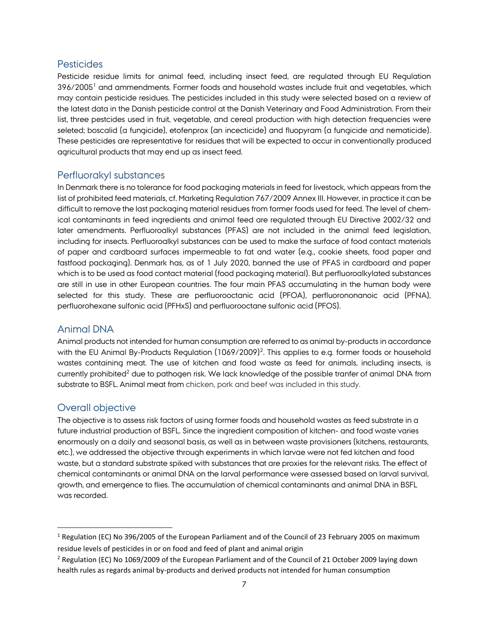### **Pesticides**

Pesticide residue limits for animal feed, including insect feed, are regulated through EU Regulation 396/2005<sup>1</sup> and ammendments. Former foods and household wastes include fruit and vegetables, which may contain pesticide residues. The pesticides included in this study were selected based on a review of the latest data in the Danish pesticide control at the Danish Veterinary and Food Administration. From their list, three pestcides used in fruit, vegetable, and cereal production with high detection frequencies were seleted; boscalid (a fungicide), etofenprox (an incecticide) and fluopyram (a fungicide and nematicide). These pesticides are representative for residues that will be expected to occur in conventionally produced agricultural products that may end up as insect feed.

### Perfluorakyl substances

In Denmark there is no tolerance for food packaging materials in feed for livestock, which appears from the list of prohibited feed materials, cf. Marketing Regulation 767/2009 Annex III. However, in practice it can be difficult to remove the last packaging material residues from former foods used for feed. The level of chemical contaminants in feed ingredients and animal feed are regulated through EU Directive 2002/32 and later amendments. Perfluoroalkyl substances (PFAS) are not included in the animal feed legislation, including for insects. Perfluoroalkyl substances can be used to make the surface of food contact materials of paper and cardboard surfaces impermeable to fat and water (e.g., cookie sheets, food paper and fastfood packaging). Denmark has, as of 1 July 2020, banned the use of PFAS in cardboard and paper which is to be used as food contact material (food packaging material). But perfluoroalkylated substances are still in use in other European countries. The four main PFAS accumulating in the human body were selected for this study. These are perfluorooctanic acid (PFOA), perfluorononanoic acid (PFNA), perfluorohexane sulfonic acid (PFHxS) and perfluorooctane sulfonic acid (PFOS).

### Animal DNA

Animal products not intended for human consumption are referred to as animal by-products in accordance with the EU Animal By-Products Regulation (1069/2009)<sup>2</sup>. This applies to e.g. former foods or household wastes containing meat. The use of kitchen and food waste as feed for animals, including insects, is currently prohibited<sup>2</sup> due to pathogen risk. We lack knowledge of the possible tranfer of animal DNA from substrate to BSFL. Animal meat from chicken, pork and beef was included in this study.

### Overall objective

 $\overline{a}$ 

The objective is to assess risk factors of using former foods and household wastes as feed substrate in a future industrial production of BSFL. Since the ingredient composition of kitchen- and food waste varies enormously on a daily and seasonal basis, as well as in between waste provisioners (kitchens, restaurants, etc.), we addressed the objective through experiments in which larvae were not fed kitchen and food waste, but a standard substrate spiked with substances that are proxies for the relevant risks. The effect of chemical contaminants or animal DNA on the larval performance were assessed based on larval survival, growth, and emergence to flies. The accumulation of chemical contaminants and animal DNA in BSFL was recorded.

<sup>1</sup> Regulation (EC) No 396/2005 of the European Parliament and of the Council of 23 February 2005 on maximum residue levels of pesticides in or on food and feed of plant and animal origin

<sup>&</sup>lt;sup>2</sup> Regulation (EC) No 1069/2009 of the European Parliament and of the Council of 21 October 2009 laying down health rules as regards animal by-products and derived products not intended for human consumption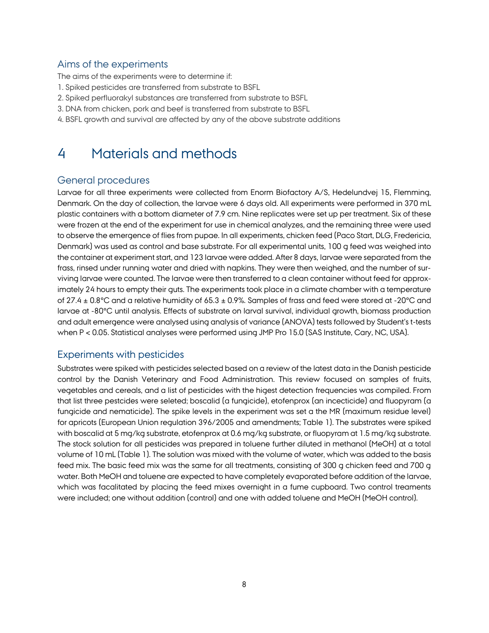## Aims of the experiments

The aims of the experiments were to determine if:

- 1. Spiked pesticides are transferred from substrate to BSFL
- 2. Spiked perfluorakyl substances are transferred from substrate to BSFL
- 3. DNA from chicken, pork and beef is transferred from substrate to BSFL
- <span id="page-7-0"></span>4. BSFL growth and survival are affected by any of the above substrate additions

## 4 Materials and methods

## General procedures

Larvae for all three experiments were collected from Enorm Biofactory A/S, Hedelundvej 15, Flemming, Denmark. On the day of collection, the larvae were 6 days old. All experiments were performed in 370 mL plastic containers with a bottom diameter of 7.9 cm. Nine replicates were set up per treatment. Six of these were frozen at the end of the experiment for use in chemical analyzes, and the remaining three were used to observe the emergence of flies from pupae. In all experiments, chicken feed (Paco Start, DLG, Fredericia, Denmark) was used as control and base substrate. For all experimental units, 100 g feed was weighed into the container at experiment start, and 123 larvae were added. After 8 days, larvae were separated from the frass, rinsed under running water and dried with napkins. They were then weighed, and the number of surviving larvae were counted. The larvae were then transferred to a clean container without feed for approximately 24 hours to empty their guts. The experiments took place in a climate chamber with a temperature of 27.4  $\pm$  0.8°C and a relative humidity of 65.3  $\pm$  0.9%. Samples of frass and feed were stored at -20°C and larvae at -80°C until analysis. Effects of substrate on larval survival, individual growth, biomass production and adult emergence were analysed using analysis of variance (ANOVA) tests followed by Student's t-tests when P < 0.05. Statistical analyses were performed using JMP Pro 15.0 (SAS Institute, Cary, NC, USA).

## <span id="page-7-1"></span>Experiments with pesticides

Substrates were spiked with pesticides selected based on a review of the latest data in the Danish pesticide control by the Danish Veterinary and Food Administration. This review focused on samples of fruits, vegetables and cereals, and a list of pesticides with the higest detection frequencies was compiled. From that list three pestcides were seleted; boscalid (a fungicide), etofenprox (an incecticide) and fluopyram (a fungicide and nematicide). The spike levels in the experiment was set a the MR (maximum residue level) for apricots (European Union regulation 396/2005 and amendments; Table 1). The substrates were spiked with boscalid at 5 mg/kg substrate, etofenprox at 0.6 mg/kg substrate, or fluopyram at 1.5 mg/kg substrate. The stock solution for all pesticides was prepared in toluene further diluted in methanol (MeOH) at a total volume of 10 mL (Table 1). The solution was mixed with the volume of water, which was added to the basis feed mix. The basic feed mix was the same for all treatments, consisting of 300 g chicken feed and 700 g water. Both MeOH and toluene are expected to have completely evaporated before addition of the larvae, which was facalitated by placing the feed mixes overnight in a fume cupboard. Two control treaments were included; one without addition (control) and one with added toluene and MeOH (MeOH control).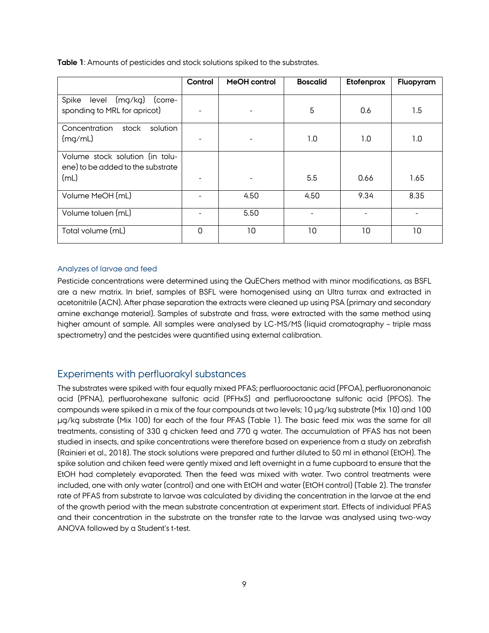|                                                                              | Control | <b>MeOH</b> control | <b>Boscalid</b> | Etofenprox | Fluopyram |
|------------------------------------------------------------------------------|---------|---------------------|-----------------|------------|-----------|
| (mg/kg)<br>Spike<br>level<br>(corre-<br>sponding to MRL for apricot)         |         |                     | 5               | 0.6        | 1.5       |
| Concentration<br>solution<br>stock<br>(mg/mL)                                |         |                     | 1.0             | 1.0        | 1.0       |
| Volume stock solution (in tolu-<br>ene) to be added to the substrate<br>(mL) |         |                     | 5.5             | 0.66       | 1.65      |
| Volume MeOH (mL)                                                             |         | 4.50                | 4.50            | 9.34       | 8.35      |
| Volume toluen (mL)                                                           |         | 5.50                |                 |            |           |
| Total volume (mL)                                                            | 0       | 10                  | 10              | 10         | 10        |

**Table 1**: Amounts of pesticides and stock solutions spiked to the substrates.

#### Analyzes of larvae and feed

Pesticide concentrations were determined using the QuEChers method with minor modifications, as BSFL are a new matrix. In brief, samples of BSFL were homogenised using an Ultra turrax and extracted in acetonitrile (ACN). After phase separation the extracts were cleaned up using PSA (primary and secondary amine exchange material). Samples of substrate and frass, were extracted with the same method using higher amount of sample. All samples were analysed by LC-MS/MS (liquid cromatography – triple mass spectrometry) and the pestcides were quantified using external calibration.

## Experiments with perfluorakyl substances

The substrates were spiked with four equally mixed PFAS; perfluorooctanic acid (PFOA), perfluorononanoic acid (PFNA), perfluorohexane sulfonic acid (PFHxS) and perfluorooctane sulfonic acid (PFOS). The compounds were spiked in a mix of the four compounds at two levels; 10 µg/kg substrate (Mix 10) and 100 µg/kg substrate (Mix 100) for each of the four PFAS (Table 1). The basic feed mix was the same for all treatments, consisting of 330 g chicken feed and 770 g water. The accumulation of PFAS has not been studied in insects, and spike concentrations were therefore based on experience from a study on zebrafish (Rainieri et al., 2018). The stock solutions were prepared and further diluted to 50 ml in ethanol (EtOH). The spike solution and chiken feed were gently mixed and left overnight in a fume cupboard to ensure that the EtOH had completely evaporated. Then the feed was mixed with water. Two control treatments were included, one with only water (control) and one with EtOH and water (EtOH control) (Table 2). The transfer rate of PFAS from substrate to larvae was calculated by dividing the concentration in the larvae at the end of the growth period with the mean substrate concentration at experiment start. Effects of individual PFAS and their concentration in the substrate on the transfer rate to the larvae was analysed using two-way ANOVA followed by a Student's t-test.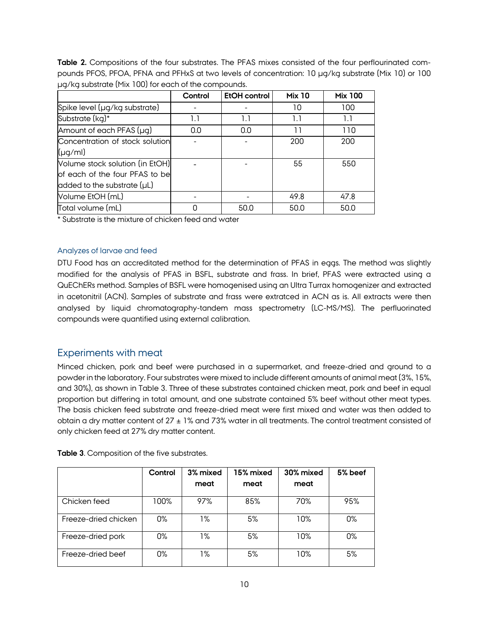**Table 2.** Compositions of the four substrates. The PFAS mixes consisted of the four perflourinated compounds PFOS, PFOA, PFNA and PFHxS at two levels of concentration: 10 µg/kg substrate (Mix 10) or 100 µg/kg substrate (Mix 100) for each of the compounds.

|                                  | Control | <b>EtOH</b> control | <b>Mix 10</b> | <b>Mix 100</b> |
|----------------------------------|---------|---------------------|---------------|----------------|
| Spike level (µg/kg substrate)    |         |                     | 10            | 100            |
| Substrate (kg)*                  | 1.1     | 1.1                 | 1.1           | 1.1            |
| Amount of each PFAS (µg)         | 0.0     | 0.0                 | 11            | 110            |
| Concentration of stock solution  |         |                     | 200           | 200            |
| $(\mu q/ml)$                     |         |                     |               |                |
| Volume stock solution (in EtOH)  |         |                     | 55            | 550            |
| of each of the four PFAS to be   |         |                     |               |                |
| added to the substrate $(\mu L)$ |         |                     |               |                |
| Volume EtOH (mL)                 |         |                     | 49.8          | 47.8           |
| Total volume (mL)                | 0       | 50.0                | 50.0          | 50.0           |

\* Substrate is the mixture of chicken feed and water

#### Analyzes of larvae and feed

DTU Food has an accreditated method for the determination of PFAS in eggs. The method was slightly modified for the analysis of PFAS in BSFL, substrate and frass. In brief, PFAS were extracted using a QuEChERs method. Samples of BSFL were homogenised using an Ultra Turrax homogenizer and extracted in acetonitril (ACN). Samples of substrate and frass were extratced in ACN as is. All extracts were then analysed by liquid chromatography-tandem mass spectrometry (LC-MS/MS). The perfluorinated compounds were quantified using external calibration.

## Experiments with meat

Minced chicken, pork and beef were purchased in a supermarket, and freeze-dried and ground to a powder in the laboratory. Four substrates were mixed to include different amounts of animal meat (3%, 15%, and 30%), as shown in Table 3. Three of these substrates contained chicken meat, pork and beef in equal proportion but differing in total amount, and one substrate contained 5% beef without other meat types. The basis chicken feed substrate and freeze-dried meat were first mixed and water was then added to obtain a dry matter content of  $27 \pm 1\%$  and 73% water in all treatments. The control treatment consisted of only chicken feed at 27% dry matter content.

|                      | Control | 3% mixed<br>meat | 15% mixed<br>meat | 30% mixed<br>meat | 5% beef |
|----------------------|---------|------------------|-------------------|-------------------|---------|
| Chicken feed         | 100%    | 97%              | 85%               | 70%               | 95%     |
| Freeze-dried chicken | 0%      | 1%               | 5%                | 10%               | 0%      |
| Freeze-dried pork    | 0%      | 1%               | 5%                | 10%               | $0\%$   |
| Freeze-dried beef    | 0%      | 1%               | 5%                | 10%               | 5%      |

**Table 3**. Composition of the five substrates.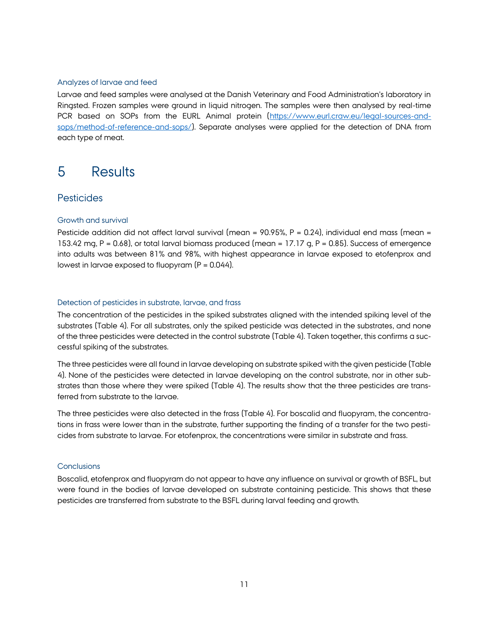#### Analyzes of larvae and feed

Larvae and feed samples were analysed at the Danish Veterinary and Food Administration's laboratory in Ringsted. Frozen samples were ground in liquid nitrogen. The samples were then analysed by real-time PCR based on SOPs from the EURL Animal protein [\(https://www.eurl.craw.eu/legal-sources-and](https://www.eurl.craw.eu/legal-sources-and-sops/method-of-reference-and-sops/)[sops/method-of-reference-and-sops/\)](https://www.eurl.craw.eu/legal-sources-and-sops/method-of-reference-and-sops/). Separate analyses were applied for the detection of DNA from each type of meat.

## <span id="page-10-0"></span>5 Results

### **Pesticides**

#### Growth and survival

Pesticide addition did not affect larval survival (mean =  $90.95\%$ , P = 0.24), individual end mass (mean = 153.42 mg, P = 0.68), or total larval biomass produced (mean = 17.17 g, P = 0.85). Success of emergence into adults was between 81% and 98%, with highest appearance in larvae exposed to etofenprox and lowest in larvae exposed to fluopyram  $(P = 0.044)$ .

#### Detection of pesticides in substrate, larvae, and frass

The concentration of the pesticides in the spiked substrates aligned with the intended spiking level of the substrates (Table 4). For all substrates, only the spiked pesticide was detected in the substrates, and none of the three pesticides were detected in the control substrate (Table 4). Taken together, this confirms a successful spiking of the substrates.

The three pesticides were all found in larvae developing on substrate spiked with the given pesticide (Table 4). None of the pesticides were detected in larvae developing on the control substrate, nor in other substrates than those where they were spiked (Table 4). The results show that the three pesticides are transferred from substrate to the larvae.

The three pesticides were also detected in the frass (Table 4). For boscalid and fluopyram, the concentrations in frass were lower than in the substrate, further supporting the finding of a transfer for the two pesticides from substrate to larvae. For etofenprox, the concentrations were similar in substrate and frass.

#### **Conclusions**

Boscalid, etofenprox and fluopyram do not appear to have any influence on survival or growth of BSFL, but were found in the bodies of larvae developed on substrate containing pesticide. This shows that these pesticides are transferred from substrate to the BSFL during larval feeding and growth.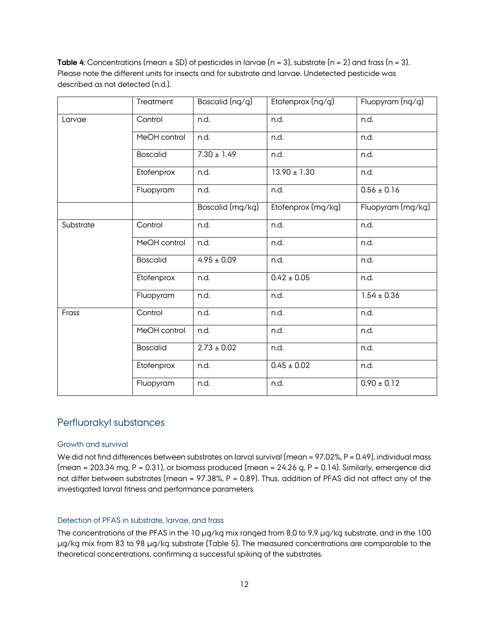**Table 4**: Concentrations (mean  $\pm$  SD) of pesticides in larvae (n = 3), substrate (n = 2) and frass (n = 3). Please note the different units for insects and for substrate and larvae. Undetected pesticide was described as not detected (n.d.).

|           | Treatment       | Boscalid (ng/g)  | Etofenprox (ng/g)  | Fluopyram (ng/g)  |
|-----------|-----------------|------------------|--------------------|-------------------|
| Larvae    | Control         | n.d.             | n.d.               | n.d.              |
|           | MeOH control    | n.d.             | n.d.               | n.d.              |
|           | <b>Boscalid</b> | $7.30 \pm 1.49$  | n.d.               | n.d.              |
|           | Etofenprox      | n.d.             | $13.90 \pm 1.30$   | n.d.              |
|           | Fluopyram       | n.d.             | n.d.               | $0.56 \pm 0.16$   |
|           |                 | Boscalid (mg/kg) | Etofenprox (mg/kg) | Fluopyram (mg/kg) |
| Substrate | Control         | n.d.             | n.d.               | n.d.              |
|           | MeOH control    | n.d.             | n.d.               | n.d.              |
|           | <b>Boscalid</b> | $4.95 \pm 0.09$  | n.d.               | n.d.              |
|           | Etofenprox      | n.d.             | $0.42 \pm 0.05$    | n.d.              |
|           | Fluopyram       | n.d.             | n.d.               | $1.54 \pm 0.36$   |
| Frass     | Control         | n.d.             | n.d.               | n.d.              |
|           | MeOH control    | n.d.             | n.d.               | n.d.              |
|           | <b>Boscalid</b> | $2.73 \pm 0.02$  | n.d.               | n.d.              |
|           | Etofenprox      | n.d.             | $0.45 \pm 0.02$    | n.d.              |
|           | Fluopyram       | n.d.             | n.d.               | $0.90 \pm 0.12$   |

### Perfluorakyl substances

#### Growth and survival

We did not find differences between substrates on larval survival (mean = 97.02%, P = 0.49), individual mass (mean = 203.34 mg, P = 0.31), or biomass produced (mean =  $24.26$  g, P = 0.14). Similarly, emergence did not differ between substrates (mean = 97.38%, P = 0.89). Thus, addition of PFAS did not affect any of the investigated larval fitness and performance parameters.

#### Detection of PFAS in substrate, larvae, and frass

The concentrations of the PFAS in the 10 µg/kg mix ranged from 8,0 to 9,9 µg/kg substrate, and in the 100 µg/kg mix from 83 to 98 µg/kg substrate (Table 5). The measured concentrations are comparable to the theoretical concentrations, confirming a successful spiking of the substrates.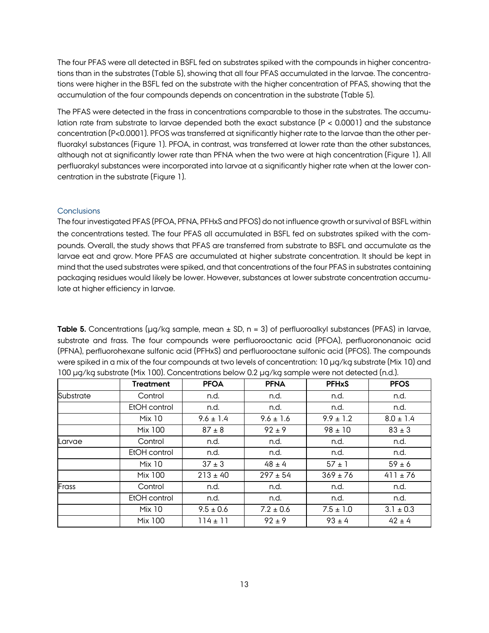The four PFAS were all detected in BSFL fed on substrates spiked with the compounds in higher concentrations than in the substrates (Table 5), showing that all four PFAS accumulated in the larvae. The concentrations were higher in the BSFL fed on the substrate with the higher concentration of PFAS, showing that the accumulation of the four compounds depends on concentration in the substrate (Table 5).

The PFAS were detected in the frass in concentrations comparable to those in the substrates. The accumulation rate fram substrate to larvae depended both the exact substance (P < 0.0001) and the substance concentration (P<0.0001). PFOS was transferred at significantly higher rate to the larvae than the other perfluorakyl substances (Figure 1). PFOA, in contrast, was transferred at lower rate than the other substances, although not at significantly lower rate than PFNA when the two were at high concentration (Figure 1). All perfluorakyl substances were incorporated into larvae at a significantly higher rate when at the lower concentration in the substrate (Figure 1).

#### **Conclusions**

The four investigated PFAS (PFOA, PFNA, PFHxS and PFOS) do not influence growth or survival of BSFL within the concentrations tested. The four PFAS all accumulated in BSFL fed on substrates spiked with the compounds. Overall, the study shows that PFAS are transferred from substrate to BSFL and accumulate as the larvae eat and grow. More PFAS are accumulated at higher substrate concentration. It should be kept in mind that the used substrates were spiked, and that concentrations of the four PFAS in substrates containing packaging residues would likely be lower. However, substances at lower substrate concentration accumulate at higher efficiency in larvae.

**Table 5.** Concentrations (µg/kg sample, mean  $\pm$  SD, n = 3) of perfluoroalkyl substances (PFAS) in larvae, substrate and frass. The four compounds were perfluorooctanic acid (PFOA), perfluorononanoic acid (PFNA), perfluorohexane sulfonic acid (PFHxS) and perfluorooctane sulfonic acid (PFOS). The compounds were spiked in a mix of the four compounds at two levels of concentration: 10 µg/kg substrate (Mix 10) and 100 µg/kg substrate (Mix 100). Concentrations below 0.2 µg/kg sample were not detected (n.d.).

|           | <b>Treatment</b> | <b>PFOA</b>   | <b>PFNA</b>   | <b>PFHxS</b>  | <b>PFOS</b>   |
|-----------|------------------|---------------|---------------|---------------|---------------|
| Substrate | Control          | n.d.          | n.d.          | n.d.          | n.d.          |
|           | EtOH control     | n.d.          | n.d.          | n.d.          | n.d.          |
|           | <b>Mix 10</b>    | $9.6 \pm 1.4$ | $9.6 \pm 1.6$ | $9.9 \pm 1.2$ | $8.0 \pm 1.4$ |
|           | Mix 100          | $87 \pm 8$    | $92 \pm 9$    | $98 \pm 10$   | $83 \pm 3$    |
| Larvae    | Control          | n.d.          | n.d.          | n.d.          | n.d.          |
|           | EtOH control     | n.d.          | n.d.          | n.d.          | n.d.          |
|           | <b>Mix 10</b>    | $37 \pm 3$    | $48 \pm 4$    | $57 \pm 1$    | $59 \pm 6$    |
|           | Mix 100          | $213 \pm 40$  | $297 \pm 54$  | $369 \pm 76$  | $411 \pm 76$  |
| Frass     | Control          | n.d.          | n.d.          | n.d.          | n.d.          |
|           | EtOH control     | n.d.          | n.d.          | n.d.          | n.d.          |
|           | <b>Mix 10</b>    | $9.5 \pm 0.6$ | $7.2 \pm 0.6$ | $7.5 \pm 1.0$ | $3.1 \pm 0.3$ |
|           | Mix 100          | $114 \pm 11$  | $92 \pm 9$    | $93 \pm 4$    | $42 \pm 4$    |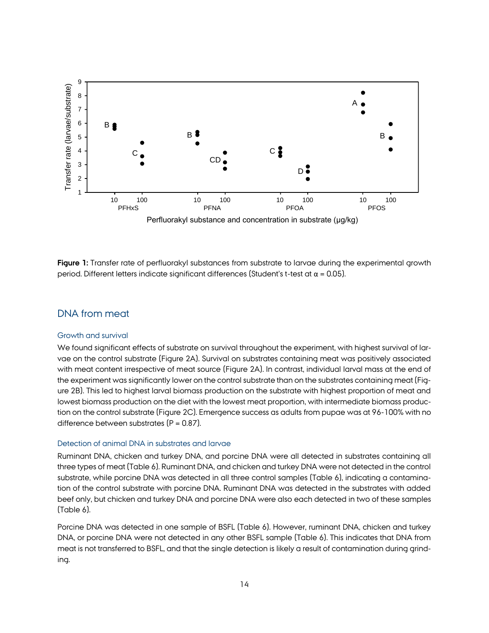

**Figure 1:** Transfer rate of perfluorakyl substances from substrate to larvae during the experimental growth period. Different letters indicate significant differences (Student's t-test at  $α = 0.05$ ).

### DNA from meat

#### Growth and survival

We found significant effects of substrate on survival throughout the experiment, with highest survival of larvae on the control substrate (Figure 2A). Survival on substrates containing meat was positively associated with meat content irrespective of meat source (Figure 2A). In contrast, individual larval mass at the end of the experiment was significantly lower on the control substrate than on the substrates containing meat (Figure 2B). This led to highest larval biomass production on the substrate with highest proportion of meat and lowest biomass production on the diet with the lowest meat proportion, with intermediate biomass production on the control substrate (Figure 2C). Emergence success as adults from pupae was at 96-100% with no difference between substrates  $(P = 0.87)$ .

#### Detection of animal DNA in substrates and larvae

Ruminant DNA, chicken and turkey DNA, and porcine DNA were all detected in substrates containing all three types of meat (Table 6). Ruminant DNA, and chicken and turkey DNA were not detected in the control substrate, while porcine DNA was detected in all three control samples (Table 6), indicating a contamination of the control substrate with porcine DNA. Ruminant DNA was detected in the substrates with added beef only, but chicken and turkey DNA and porcine DNA were also each detected in two of these samples (Table 6).

Porcine DNA was detected in one sample of BSFL (Table 6). However, ruminant DNA, chicken and turkey DNA, or porcine DNA were not detected in any other BSFL sample (Table 6). This indicates that DNA from meat is not transferred to BSFL, and that the single detection is likely a result of contamination during grinding.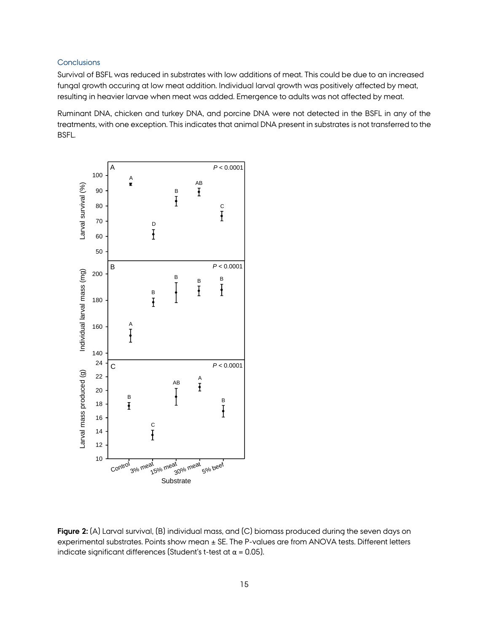#### **Conclusions**

Survival of BSFL was reduced in substrates with low additions of meat. This could be due to an increased fungal growth occuring at low meat addition. Individual larval growth was positively affected by meat, resulting in heavier larvae when meat was added. Emergence to adults was not affected by meat.

Ruminant DNA, chicken and turkey DNA, and porcine DNA were not detected in the BSFL in any of the treatments, with one exception. This indicates that animal DNA present in substrates is not transferred to the BSFL.



**Figure 2:** (A) Larval survival, (B) individual mass, and (C) biomass produced during the seven days on experimental substrates. Points show mean ± SE. The P-values are from ANOVA tests. Different letters indicate significant differences (Student's t-test at  $\alpha$  = 0.05).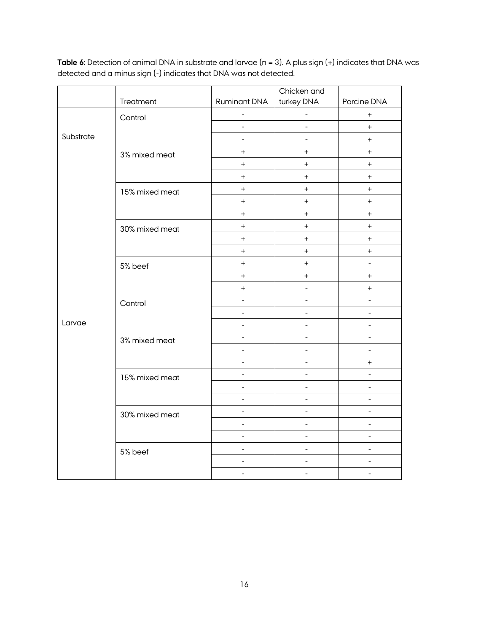|           | Treatment      | <b>Ruminant DNA</b>      | Chicken and<br>turkey DNA        | Porcine DNA              |
|-----------|----------------|--------------------------|----------------------------------|--------------------------|
|           |                | $\overline{\phantom{0}}$ | ÷                                | $\ddot{}$                |
|           | Control        | $\Box$                   | $\frac{1}{2}$                    | $+$                      |
| Substrate |                | $\blacksquare$           | $\equiv$                         | $\boldsymbol{+}$         |
|           |                | $\ddot{}$                | $\ddot{}$                        | $\ddot{}$                |
|           | 3% mixed meat  | $+$                      | $+$                              | $+$                      |
|           |                | $\ddot{}$                | $\ddot{}$                        | $+$                      |
|           | 15% mixed meat | $+$                      | $+$                              | $+$                      |
|           |                | $+$                      | $\begin{array}{c} + \end{array}$ | $+$                      |
|           |                | $\ddot{}$                | $\ddot{}$                        | $\ddot{}$                |
|           |                | $\ddot{}$                | $\boldsymbol{+}$                 | $\boldsymbol{+}$         |
|           | 30% mixed meat | $+$                      | $\ddot{}$                        | $+$                      |
|           |                | $\ddot{}$                | $+$                              | $\ddot{}$                |
|           | 5% beef        | $\boldsymbol{+}$         | $+$                              | $\overline{\phantom{a}}$ |
|           |                | $+$                      | $+$                              | $+$                      |
|           |                | $\ddot{}$                | $\overline{a}$                   | $\boldsymbol{+}$         |
|           | Control        | $\overline{\phantom{a}}$ | $\blacksquare$                   | $\blacksquare$           |
|           |                | $\blacksquare$           | $\frac{1}{2}$                    | $\frac{1}{2}$            |
| Larvae    |                | $\blacksquare$           | $\equiv$                         | $\blacksquare$           |
|           | 3% mixed meat  | $\overline{\phantom{a}}$ | $\blacksquare$                   | ÷.                       |
|           |                | $\overline{\phantom{a}}$ | $\overline{\phantom{a}}$         | $\overline{a}$           |
|           |                | $\Box$                   | $\frac{1}{2}$                    | $+$                      |
|           | 15% mixed meat | $\blacksquare$           | $\frac{1}{2}$                    |                          |
|           |                | $\equiv$                 | $\blacksquare$                   | $\overline{a}$           |
|           |                | $\overline{\phantom{a}}$ | $\frac{1}{2}$                    |                          |
|           | 30% mixed meat | $\blacksquare$           | $\blacksquare$                   | $\blacksquare$           |
|           |                | $\frac{1}{2}$            | $\equiv$                         | $\overline{a}$           |
|           |                | $\blacksquare$           | $\frac{1}{2}$                    | $\blacksquare$           |
|           | 5% beef        | $\overline{\phantom{a}}$ | $\frac{1}{2}$                    | $\overline{\phantom{a}}$ |
|           |                | $\overline{a}$           | $\frac{1}{2}$                    | $\overline{\phantom{a}}$ |
|           |                | $\blacksquare$           | $\blacksquare$                   | $\overline{\phantom{a}}$ |

**Table 6**: Detection of animal DNA in substrate and larvae (n = 3). A plus sign (+) indicates that DNA was detected and a minus sign (-) indicates that DNA was not detected.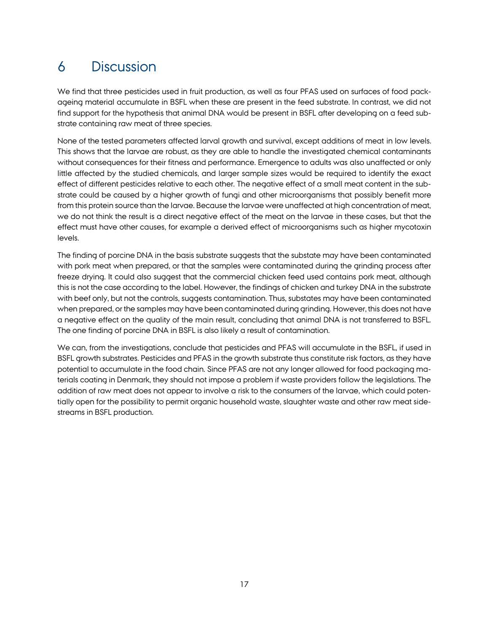# 6 Discussion

We find that three pesticides used in fruit production, as well as four PFAS used on surfaces of food packageing material accumulate in BSFL when these are present in the feed substrate. In contrast, we did not find support for the hypothesis that animal DNA would be present in BSFL after developing on a feed substrate containing raw meat of three species.

None of the tested parameters affected larval growth and survival, except additions of meat in low levels. This shows that the larvae are robust, as they are able to handle the investigated chemical contaminants without consequences for their fitness and performance. Emergence to adults was also unaffected or only little affected by the studied chemicals, and larger sample sizes would be required to identify the exact effect of different pesticides relative to each other. The negative effect of a small meat content in the substrate could be caused by a higher growth of fungi and other microorganisms that possibly benefit more from this protein source than the larvae. Because the larvae were unaffected at high concentration of meat, we do not think the result is a direct negative effect of the meat on the larvae in these cases, but that the effect must have other causes, for example a derived effect of microorganisms such as higher mycotoxin levels.

The finding of porcine DNA in the basis substrate suggests that the substate may have been contaminated with pork meat when prepared, or that the samples were contaminated during the grinding process after freeze drying. It could also suggest that the commercial chicken feed used contains pork meat, although this is not the case according to the label. However, the findings of chicken and turkey DNA in the substrate with beef only, but not the controls, suggests contamination. Thus, substates may have been contaminated when prepared, or the samples may have been contaminated during grinding. However, this does not have a negative effect on the quality of the main result, concluding that animal DNA is not transferred to BSFL. The one finding of porcine DNA in BSFL is also likely a result of contamination.

We can, from the investigations, conclude that pesticides and PFAS will accumulate in the BSFL, if used in BSFL growth substrates. Pesticides and PFAS in the growth substrate thus constitute risk factors, as they have potential to accumulate in the food chain. Since PFAS are not any longer allowed for food packaging materials coating in Denmark, they should not impose a problem if waste providers follow the legislations. The addition of raw meat does not appear to involve a risk to the consumers of the larvae, which could potentially open for the possibility to permit organic household waste, slaughter waste and other raw meat sidestreams in BSFL production.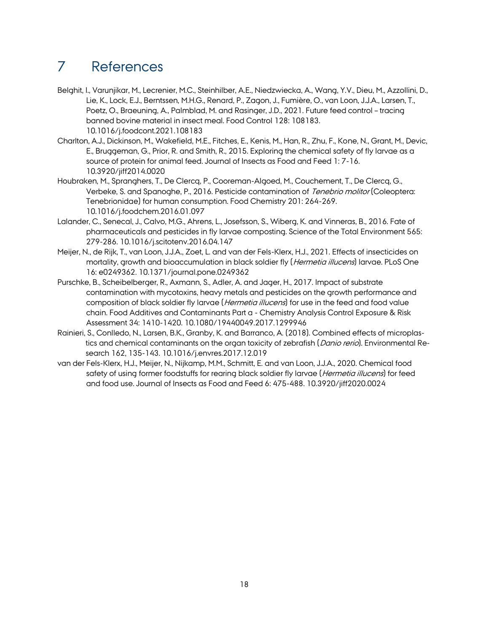# <span id="page-17-0"></span>7 References

- Belghit, I., Varunjikar, M., Lecrenier, M.C., Steinhilber, A.E., Niedzwiecka, A., Wang, Y.V., Dieu, M., Azzollini, D., Lie, K., Lock, E.J., Berntssen, M.H.G., Renard, P., Zagon, J., Fumière, O., van Loon, J.J.A., Larsen, T., Poetz, O., Braeuning, A., Palmblad, M. and Rasinger, J.D., 2021. Future feed control – tracing banned bovine material in insect meal. Food Control 128: 108183. 10.1016/j.foodcont.2021.108183
- Charlton, A.J., Dickinson, M., Wakefield, M.E., Fitches, E., Kenis, M., Han, R., Zhu, F., Kone, N., Grant, M., Devic, E., Bruggeman, G., Prior, R. and Smith, R., 2015. Exploring the chemical safety of fly larvae as a source of protein for animal feed. Journal of Insects as Food and Feed 1: 7-16. 10.3920/jiff2014.0020
- Houbraken, M., Spranghers, T., De Clercq, P., Cooreman-Algoed, M., Couchement, T., De Clercq, G., Verbeke, S. and Spanoghe, P., 2016. Pesticide contamination of Tenebrio molitor (Coleoptera: Tenebrionidae) for human consumption. Food Chemistry 201: 264-269. 10.1016/j.foodchem.2016.01.097
- Lalander, C., Senecal, J., Calvo, M.G., Ahrens, L., Josefsson, S., Wiberg, K. and Vinneras, B., 2016. Fate of pharmaceuticals and pesticides in fly larvae composting. Science of the Total Environment 565: 279-286. 10.1016/j.scitotenv.2016.04.147
- Meijer, N., de Rijk, T., van Loon, J.J.A., Zoet, L. and van der Fels-Klerx, H.J., 2021. Effects of insecticides on mortality, growth and bioaccumulation in black soldier fly (*Hermetia illucens*) larvae. PLoS One 16: e0249362. 10.1371/journal.pone.0249362
- Purschke, B., Scheibelberger, R., Axmann, S., Adler, A. and Jager, H., 2017. Impact of substrate contamination with mycotoxins, heavy metals and pesticides on the growth performance and composition of black soldier fly larvae (Hermetia illucens) for use in the feed and food value chain. Food Additives and Contaminants Part a - Chemistry Analysis Control Exposure & Risk Assessment 34: 1410-1420. 10.1080/19440049.2017.1299946
- Rainieri, S., Conlledo, N., Larsen, B.K., Granby, K. and Barranco, A. (2018). Combined effects of microplastics and chemical contaminants on the organ toxicity of zebrafish (Danio rerio). Environmental Research 162, 135-143. [10.1016/j.envres.2017.12.019](https://doi.org/10.1016/j.envres.2017.12.019)
- van der Fels-Klerx, H.J., Meijer, N., Nijkamp, M.M., Schmitt, E. and van Loon, J.J.A., 2020. Chemical food safety of using former foodstuffs for rearing black soldier fly larvae (Hermetia illucens) for feed and food use. Journal of Insects as Food and Feed 6: 475-488. 10.3920/jiff2020.0024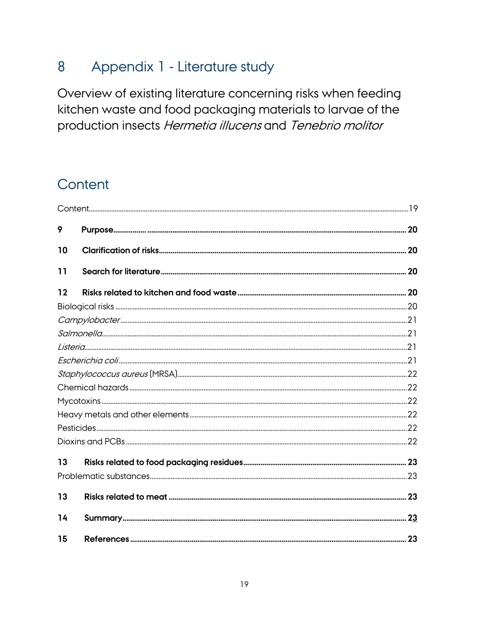#### 8 Appendix 1 - Literature study

Overview of existing literature concerning risks when feeding kitchen waste and food packaging materials to larvae of the production insects Hermetia illucens and Tenebrio molitor

# Content

| 9  |  |
|----|--|
| 10 |  |
| 11 |  |
| 12 |  |
|    |  |
|    |  |
|    |  |
|    |  |
|    |  |
|    |  |
|    |  |
|    |  |
|    |  |
|    |  |
|    |  |
| 13 |  |
|    |  |
| 13 |  |
| 14 |  |
| 15 |  |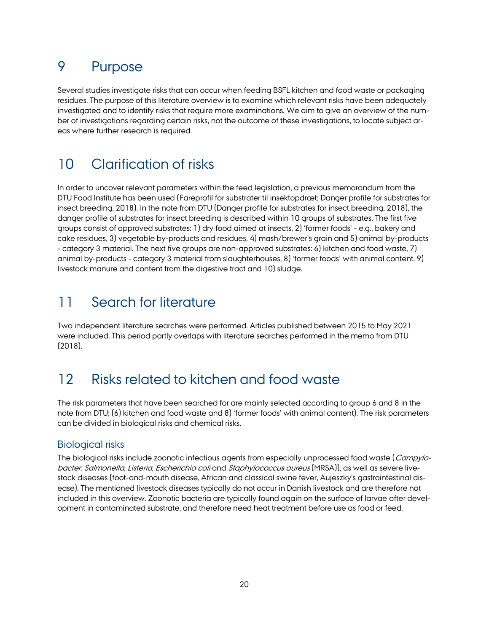# 9 Purpose

Several studies investigate risks that can occur when feeding BSFL kitchen and food waste or packaging residues. The purpose of this literature overview is to examine which relevant risks have been adequately investigated and to identify risks that require more examinations. We aim to give an overview of the number of investigations regarding certain risks, not the outcome of these investigations, to locate subject areas where further research is required.

# 10 Clarification of risks

In order to uncover relevant parameters within the feed legislation, a previous memorandum from the DTU Food Institute has been used (Fareprofil for substrater til insektopdræt; Danger profile for substrates for insect breeding, 2018). In the note from DTU (Danger profile for substrates for insect breeding, 2018), the danger profile of substrates for insect breeding is described within 10 groups of substrates. The first five groups consist of approved substrates: 1) dry food aimed at insects, 2) 'former foods' - e.g., bakery and cake residues, 3) vegetable by-products and residues, 4) mash/brewer's grain and 5) animal by-products - category 3 material. The next five groups are non-approved substrates: 6) kitchen and food waste, 7) animal by-products - category 3 material from slaughterhouses, 8) 'former foods' with animal content, 9) livestock manure and content from the digestive tract and 10) sludge.

## 11 Search for literature

Two independent literature searches were performed. Articles published between 2015 to May 2021 were included. This period partly overlaps with literature searches performed in the memo from DTU (2018).

## 12 Risks related to kitchen and food waste

The risk parameters that have been searched for are mainly selected according to group 6 and 8 in the note from DTU; (6) kitchen and food waste and 8) 'former foods' with animal content). The risk parameters can be divided in biological risks and chemical risks.

## Biological risks

The biological risks include zoonotic infectious agents from especially unprocessed food waste (Campylobacter, Salmonella, Listeria, Escherichia coli and Staphylococcus aureus (MRSA)), as well as severe livestock diseases (foot-and-mouth disease, African and classical swine fever, Aujeszky's gastrointestinal disease). The mentioned livestock diseases typically do not occur in Danish livestock and are therefore not included in this overview. Zoonotic bacteria are typically found again on the surface of larvae after development in contaminated substrate, and therefore need heat treatment before use as food or feed.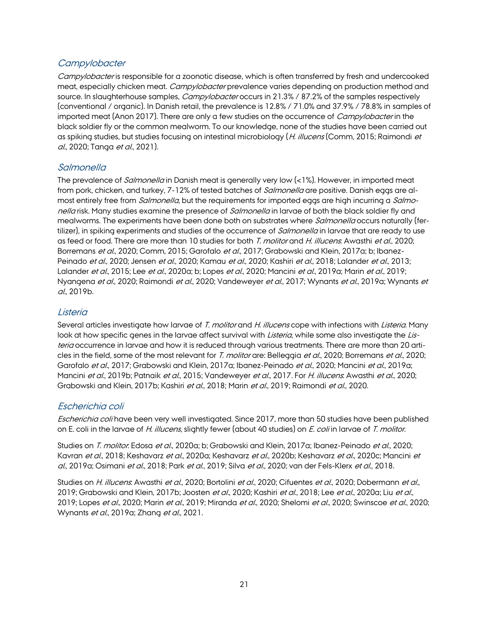## **Campylobacter**

Campylobacter is responsible for a zoonotic disease, which is often transferred by fresh and undercooked meat, especially chicken meat. Campylobacter prevalence varies depending on production method and source. In slaughterhouse samples, *Campylobacter* occurs in 21.3% / 87.2% of the samples respectively (conventional / organic). In Danish retail, the prevalence is 12.8% / 71.0% and 37.9% / 78.8% in samples of imported meat (Anon 2017). There are only a few studies on the occurrence of Campylobacter in the black soldier fly or the common mealworm. To our knowledge, none of the studies have been carried out as spiking studies, but studies focusing on intestinal microbiology (H. illucens (Comm, 2015; Raimondi et al., 2020; Tanga et al., 2021).

## **Salmonella**

The prevalence of *Salmonella* in Danish meat is generally very low (<1%). However, in imported meat from pork, chicken, and turkey, 7-12% of tested batches of *Salmonella* are positive. Danish eggs are almost entirely free from *Salmonella*, but the requirements for imported eggs are high incurring a *Salmo*nella risk. Many studies examine the presence of *Salmonella* in larvae of both the black soldier fly and mealworms. The experiments have been done both on substrates where *Salmonella* occurs naturally (fertilizer), in spiking experiments and studies of the occurrence of *Salmonella* in larvae that are ready to use as feed or food. There are more than 10 studies for both T. molitor and H. illucens. Awasthi et al., 2020; Borremans et al., 2020; Comm, 2015; Garofalo et al., 2017; Grabowski and Klein, 2017a; b; Ibanez-Peinado et al., 2020; Jensen et al., 2020; Kamau et al., 2020; Kashiri et al., 2018; Lalander et al., 2013; Lalander et al., 2015; Lee et al., 2020a; b; Lopes et al., 2020; Mancini et al., 2019a; Marin et al., 2019; Nyangena et al., 2020; Raimondi et al., 2020; Vandeweyer et al., 2017; Wynants et al., 2019a; Wynants et  $a$ , 2019 $b$ .

## **Listeria**

Several articles investigate how larvae of T. molitor and H. illucens cope with infections with Listeria. Many look at how specific genes in the larvae affect survival with *Listeria*, while some also investigate the Listeria occurrence in larvae and how it is reduced through various treatments. There are more than 20 articles in the field, some of the most relevant for T. molitor are: Belleggia et al., 2020; Borremans et al., 2020; Garofalo et al., 2017; Grabowski and Klein, 2017a; Ibanez-Peinado et al., 2020; Mancini et al., 2019a; Mancini et al., 2019b; Patnaik et al., 2015; Vandeweyer et al., 2017. For H. illucens: Awasthi et al., 2020; Grabowski and Klein, 2017b; Kashiri et al., 2018; Marin et al., 2019; Raimondi et al., 2020.

## Escherichia coli

Escherichia coli have been very well investigated. Since 2017, more than 50 studies have been published on E. coli in the larvae of H. illucens, slightly fewer (about 40 studies) on E. coli in larvae of T. molitor.

Studies on T. molitor. Edosa et al., 2020a; b; Grabowski and Klein, 2017a; Ibanez-Peinado et al., 2020; Kavran et al., 2018; Keshavarz et al., 2020a; Keshavarz et al., 2020b; Keshavarz et al., 2020c; Mancini et al., 2019a; Osimani et al., 2018; Park et al., 2019; Silva et al., 2020; van der Fels-Klerx et al., 2018.

Studies on H. illucens: Awasthi et al., 2020; Bortolini et al., 2020; Cifuentes et al., 2020; Dobermann et al., 2019; Grabowski and Klein, 2017b; Joosten et al., 2020; Kashiri et al., 2018; Lee et al., 2020a; Liu et al., 2019; Lopes et al., 2020; Marin et al., 2019; Miranda et al., 2020; Shelomi et al., 2020; Swinscoe et al., 2020; Wynants et al., 2019a; Zhang et al., 2021.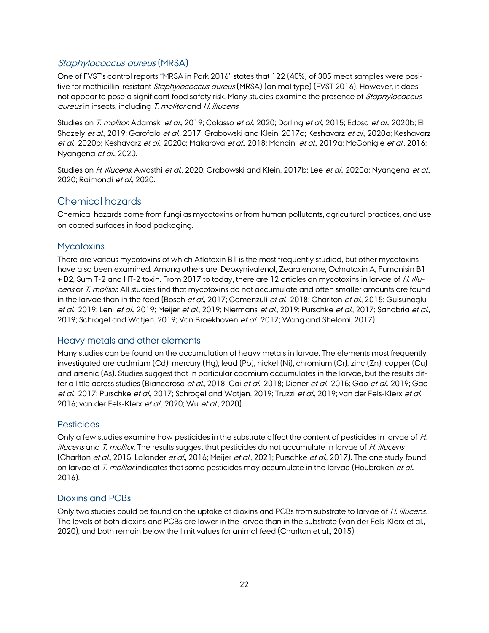## Staphylococcus aureus (MRSA)

One of FVST's control reports "MRSA in Pork 2016" states that 122 (40%) of 305 meat samples were positive for methicillin-resistant *Staphylococcus aureus* (MRSA) (animal type) (FVST 2016). However, it does not appear to pose a significant food safety risk. Many studies examine the presence of Staphylococcus aureus in insects, including T. molitor and H. illucens.

Studies on T. molitor. Adamski et al., 2019; Colasso et al., 2020; Dorling et al., 2015; Edosa et al., 2020b; El Shazely et al., 2019; Garofalo et al., 2017; Grabowski and Klein, 2017a; Keshavarz et al., 2020a; Keshavarz et al., 2020b; Keshavarz et al., 2020c; Makarova et al., 2018; Mancini et al., 2019a; McGonigle et al., 2016; Nyangena et al., 2020.

Studies on H. illucens: Awasthi et al., 2020; Grabowski and Klein, 2017b; Lee et al., 2020a; Nyangena et al., 2020; Raimondi et al., 2020.

## Chemical hazards

Chemical hazards come from fungi as mycotoxins or from human pollutants, agricultural practices, and use on coated surfaces in food packaging.

### **Mycotoxins**

There are various mycotoxins of which Aflatoxin B1 is the most frequently studied, but other mycotoxins have also been examined. Among others are: Deoxynivalenol, Zearalenone, Ochratoxin A, Fumonisin B1 + B2, Sum T-2 and HT-2 toxin. From 2017 to today, there are 12 articles on mycotoxins in larvae of H. illucens or T. molitor. All studies find that mycotoxins do not accumulate and often smaller amounts are found in the larvae than in the feed (Bosch et al., 2017; Camenzuli et al., 2018; Charlton et al., 2015; Gulsunoglu et al., 2019; Leni et al., 2019; Meijer et al., 2019; Niermans et al., 2019; Purschke et al., 2017; Sanabria et al., 2019; Schrogel and Watjen, 2019; Van Broekhoven et al., 2017; Wang and Shelomi, 2017).

### Heavy metals and other elements

Many studies can be found on the accumulation of heavy metals in larvae. The elements most frequently investigated are cadmium (Cd), mercury (Hg), lead (Pb), nickel (Ni), chromium (Cr), zinc (Zn), copper (Cu) and arsenic (As). Studies suggest that in particular cadmium accumulates in the larvae, but the results differ a little across studies (Biancarosa *et al.*, 2018; Cai *et al.*, 2018; Diener *et al.*, 2015; Gao *et al.*, 2019; Gao et al., 2017; Purschke et al., 2017; Schrogel and Watjen, 2019; Truzzi et al., 2019; van der Fels-Klerx et al., 2016; van der Fels-Klerx et al., 2020; Wu et al., 2020).

### **Pesticides**

Only a few studies examine how pesticides in the substrate affect the content of pesticides in larvae of H. illucens and T. molitor. The results suggest that pesticides do not accumulate in larvae of H. illucens (Charlton et al., 2015; Lalander et al., 2016; Meijer et al., 2021; Purschke et al., 2017). The one study found on larvae of T. molitor indicates that some pesticides may accumulate in the larvae (Houbraken et al., 2016).

## Dioxins and PCBs

Only two studies could be found on the uptake of dioxins and PCBs from substrate to larvae of H. illucens. The levels of both dioxins and PCBs are lower in the larvae than in the substrate (van der Fels-Klerx et al., 2020), and both remain below the limit values for animal feed (Charlton et al., 2015).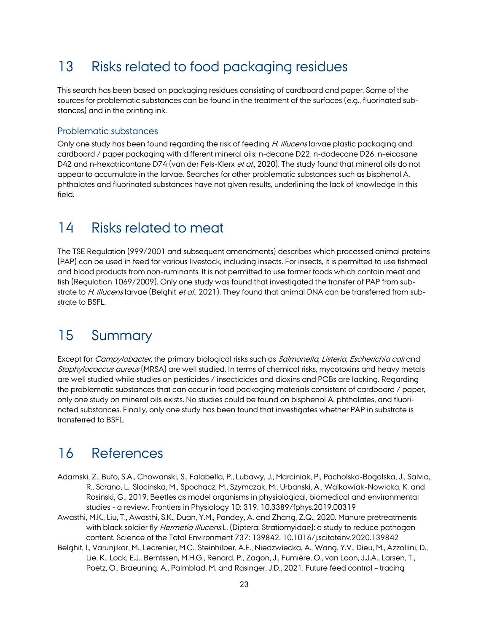## 13 Risks related to food packaging residues

This search has been based on packaging residues consisting of cardboard and paper. Some of the sources for problematic substances can be found in the treatment of the surfaces (e.g., fluorinated substances) and in the printing ink.

### Problematic substances

Only one study has been found regarding the risk of feeding H. illucens larvae plastic packaging and cardboard / paper packaging with different mineral oils: n-decane D22, n-dodecane D26, n-eicosane D42 and n-hexatricontane D74 (van der Fels-Klerx et al., 2020). The study found that mineral oils do not appear to accumulate in the larvae. Searches for other problematic substances such as bisphenol A, phthalates and fluorinated substances have not given results, underlining the lack of knowledge in this field.

## 14 Risks related to meat

The TSE Regulation (999/2001 and subsequent amendments) describes which processed animal proteins (PAP) can be used in feed for various livestock, including insects. For insects, it is permitted to use fishmeal and blood products from non-ruminants. It is not permitted to use former foods which contain meat and fish (Regulation 1069/2009). Only one study was found that investigated the transfer of PAP from substrate to H. illucens larvae (Belghit et al., 2021). They found that animal DNA can be transferred from substrate to BSFL.

## 15 Summary

Except for Campylobacter, the primary biological risks such as Salmonella, Listeria, Escherichia coli and Staphylococcus aureus (MRSA) are well studied. In terms of chemical risks, mycotoxins and heavy metals are well studied while studies on pesticides / insecticides and dioxins and PCBs are lacking. Regarding the problematic substances that can occur in food packaging materials consistent of cardboard / paper, only one study on mineral oils exists. No studies could be found on bisphenol A, phthalates, and fluorinated substances. Finally, only one study has been found that investigates whether PAP in substrate is transferred to BSFL.

## 16 References

- Adamski, Z., Bufo, S.A., Chowanski, S., Falabella, P., Lubawy, J., Marciniak, P., Pacholska-Bogalska, J., Salvia, R., Scrano, L., Slocinska, M., Spochacz, M., Szymczak, M., Urbanski, A., Walkowiak-Nowicka, K. and Rosinski, G., 2019. Beetles as model organisms in physiological, biomedical and environmental studies - a review. Frontiers in Physiology 10: 319. 10.3389/fphys.2019.00319
- Awasthi, M.K., Liu, T., Awasthi, S.K., Duan, Y.M., Pandey, A. and Zhang, Z.Q., 2020. Manure pretreatments with black soldier fly *Hermetia illucens* L. (Diptera: Stratiomyidae): a study to reduce pathogen content. Science of the Total Environment 737: 139842. 10.1016/j.scitotenv.2020.139842
- Belghit, I., Varunjikar, M., Lecrenier, M.C., Steinhilber, A.E., Niedzwiecka, A., Wang, Y.V., Dieu, M., Azzollini, D., Lie, K., Lock, E.J., Berntssen, M.H.G., Renard, P., Zagon, J., Fumière, O., van Loon, J.J.A., Larsen, T., Poetz, O., Braeuning, A., Palmblad, M. and Rasinger, J.D., 2021. Future feed control – tracing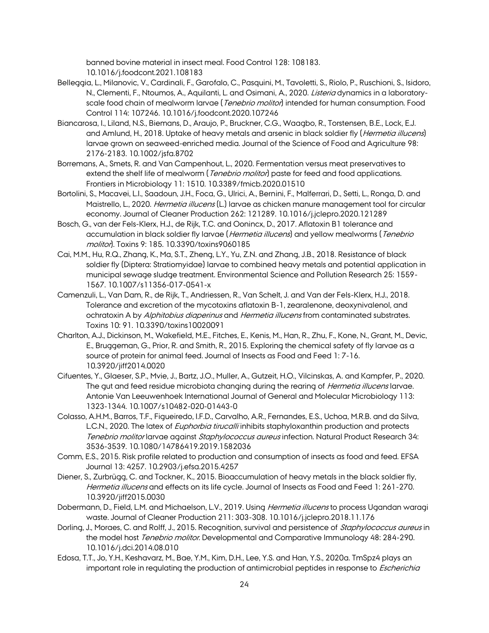banned bovine material in insect meal. Food Control 128: 108183. 10.1016/j.foodcont.2021.108183

- Belleggia, L., Milanovic, V., Cardinali, F., Garofalo, C., Pasquini, M., Tavoletti, S., Riolo, P., Ruschioni, S., Isidoro, N., Clementi, F., Ntoumos, A., Aquilanti, L. and Osimani, A., 2020. Listeria dynamics in a laboratoryscale food chain of mealworm larvae (*Tenebrio molitor*) intended for human consumption. Food Control 114: 107246. 10.1016/j.foodcont.2020.107246
- Biancarosa, I., Liland, N.S., Biemans, D., Araujo, P., Bruckner, C.G., Waagbo, R., Torstensen, B.E., Lock, E.J. and Amlund, H., 2018. Uptake of heavy metals and arsenic in black soldier fly (Hermetia illucens) larvae grown on seaweed-enriched media. Journal of the Science of Food and Agriculture 98: 2176-2183. 10.1002/jsfa.8702
- Borremans, A., Smets, R. and Van Campenhout, L., 2020. Fermentation versus meat preservatives to extend the shelf life of mealworm (*Tenebrio molitor*) paste for feed and food applications. Frontiers in Microbiology 11: 1510. 10.3389/fmicb.2020.01510
- Bortolini, S., Macavei, L.I., Saadoun, J.H., Foca, G., Ulrici, A., Bernini, F., Malferrari, D., Setti, L., Ronga, D. and Maistrello, L., 2020. *Hermetia illucens* (L.) larvae as chicken manure management tool for circular economy. Journal of Cleaner Production 262: 121289. 10.1016/j.jclepro.2020.121289
- Bosch, G., van der Fels-Klerx, H.J., de Rijk, T.C. and Oonincx, D., 2017. Aflatoxin B1 tolerance and accumulation in black soldier fly larvae (Hermetia illucens) and yellow mealworms (Tenebrio molitor). Toxins 9: 185. 10.3390/toxins9060185
- Cai, M.M., Hu, R.Q., Zhang, K., Ma, S.T., Zheng, L.Y., Yu, Z.N. and Zhang, J.B., 2018. Resistance of black soldier fly (Diptera: Stratiomyidae) larvae to combined heavy metals and potential application in municipal sewage sludge treatment. Environmental Science and Pollution Research 25: 1559- 1567. 10.1007/s11356-017-0541-x
- Camenzuli, L., Van Dam, R., de Rijk, T., Andriessen, R., Van Schelt, J. and Van der Fels-Klerx, H.J., 2018. Tolerance and excretion of the mycotoxins aflatoxin B-1, zearalenone, deoxynivalenol, and ochratoxin A by Alphitobius diaperinus and Hermetia illucens from contaminated substrates. Toxins 10: 91. 10.3390/toxins10020091
- Charlton, A.J., Dickinson, M., Wakefield, M.E., Fitches, E., Kenis, M., Han, R., Zhu, F., Kone, N., Grant, M., Devic, E., Bruggeman, G., Prior, R. and Smith, R., 2015. Exploring the chemical safety of fly larvae as a source of protein for animal feed. Journal of Insects as Food and Feed 1: 7-16. 10.3920/jiff2014.0020
- Cifuentes, Y., Glaeser, S.P., Mvie, J., Bartz, J.O., Muller, A., Gutzeit, H.O., Vilcinskas, A. and Kampfer, P., 2020. The gut and feed residue microbiota changing during the rearing of *Hermetia illucens* larvae. Antonie Van Leeuwenhoek International Journal of General and Molecular Microbiology 113: 1323-1344. 10.1007/s10482-020-01443-0
- Colasso, A.H.M., Barros, T.F., Figueiredo, I.F.D., Carvalho, A.R., Fernandes, E.S., Uchoa, M.R.B. and da Silva, L.C.N., 2020. The latex of *Euphorbia tirucalli* inhibits staphyloxanthin production and protects Tenebrio molitor larvae against Staphylococcus aureus infection. Natural Product Research 34: 3536-3539. 10.1080/14786419.2019.1582036
- Comm, E.S., 2015. Risk profile related to production and consumption of insects as food and feed. EFSA Journal 13: 4257. 10.2903/j.efsa.2015.4257
- Diener, S., Zurbrügg, C. and Tockner, K., 2015. Bioaccumulation of heavy metals in the black soldier fly, Hermetia illucens and effects on its life cycle. Journal of Insects as Food and Feed 1: 261-270. 10.3920/jiff2015.0030
- Dobermann, D., Field, L.M. and Michaelson, L.V., 2019. Using Hermetia illucens to process Ugandan waragi waste. Journal of Cleaner Production 211: 303-308. 10.1016/j.jclepro.2018.11.176
- Dorling, J., Moraes, C. and Rolff, J., 2015. Recognition, survival and persistence of Staphylococcus aureus in the model host Tenebrio molitor. Developmental and Comparative Immunology 48: 284-290. 10.1016/j.dci.2014.08.010
- Edosa, T.T., Jo, Y.H., Keshavarz, M., Bae, Y.M., Kim, D.H., Lee, Y.S. and Han, Y.S., 2020a. TmSpz4 plays an important role in regulating the production of antimicrobial peptides in response to *Escherichia*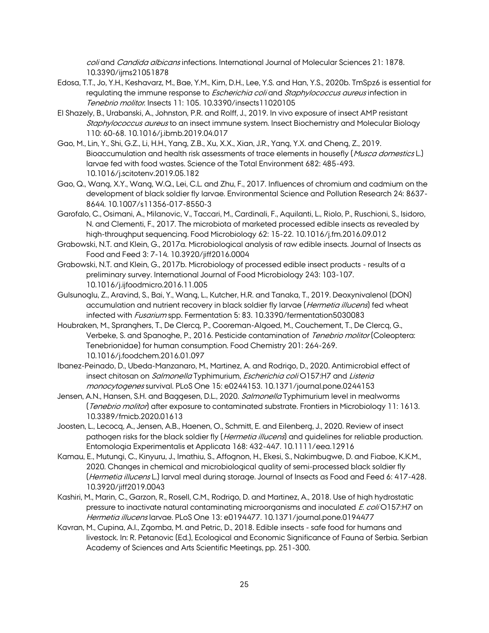coli and Candida albicans infections. International Journal of Molecular Sciences 21: 1878. 10.3390/ijms21051878

- Edosa, T.T., Jo, Y.H., Keshavarz, M., Bae, Y.M., Kim, D.H., Lee, Y.S. and Han, Y.S., 2020b. TmSpz6 is essential for regulating the immune response to *Escherichia coli* and *Staphylococcus aureus* infection in Tenebrio molitor. Insects 11: 105. 10.3390/insects11020105
- El Shazely, B., Urabanski, A., Johnston, P.R. and Rolff, J., 2019. In vivo exposure of insect AMP resistant Staphylococcus aureus to an insect immune system. Insect Biochemistry and Molecular Biology 110: 60-68. 10.1016/j.ibmb.2019.04.017
- Gao, M., Lin, Y., Shi, G.Z., Li, H.H., Yang, Z.B., Xu, X.X., Xian, J.R., Yang, Y.X. and Cheng, Z., 2019. Bioaccumulation and health risk assessments of trace elements in housefly (Musca domestics L.) larvae fed with food wastes. Science of the Total Environment 682: 485-493. 10.1016/j.scitotenv.2019.05.182
- Gao, Q., Wang, X.Y., Wang, W.Q., Lei, C.L. and Zhu, F., 2017. Influences of chromium and cadmium on the development of black soldier fly larvae. Environmental Science and Pollution Research 24: 8637- 8644. 10.1007/s11356-017-8550-3
- Garofalo, C., Osimani, A., Milanovic, V., Taccari, M., Cardinali, F., Aquilanti, L., Riolo, P., Ruschioni, S., Isidoro, N. and Clementi, F., 2017. The microbiota of marketed processed edible insects as revealed by high-throughput sequencing. Food Microbiology 62: 15-22. 10.1016/j.fm.2016.09.012
- Grabowski, N.T. and Klein, G., 2017a. Microbiological analysis of raw edible insects. Journal of Insects as Food and Feed 3: 7-14. 10.3920/jiff2016.0004
- Grabowski, N.T. and Klein, G., 2017b. Microbiology of processed edible insect products results of a preliminary survey. International Journal of Food Microbiology 243: 103-107. 10.1016/j.ijfoodmicro.2016.11.005
- Gulsunoglu, Z., Aravind, S., Bai, Y., Wang, L., Kutcher, H.R. and Tanaka, T., 2019. Deoxynivalenol (DON) accumulation and nutrient recovery in black soldier fly larvae (Hermetia illucens) fed wheat infected with *Fusarium* spp. Fermentation 5: 83. 10.3390/fermentation5030083
- Houbraken, M., Spranghers, T., De Clercq, P., Cooreman-Algoed, M., Couchement, T., De Clercq, G., Verbeke, S. and Spanoghe, P., 2016. Pesticide contamination of Tenebrio molitor (Coleoptera: Tenebrionidae) for human consumption. Food Chemistry 201: 264-269. 10.1016/j.foodchem.2016.01.097
- Ibanez-Peinado, D., Ubeda-Manzanaro, M., Martinez, A. and Rodrigo, D., 2020. Antimicrobial effect of insect chitosan on Salmonella Typhimurium, Escherichia coli O157:H7 and Listeria monocytogenes survival. PLoS One 15: e0244153. 10.1371/journal.pone.0244153
- Jensen, A.N., Hansen, S.H. and Baggesen, D.L., 2020. Salmonella Typhimurium level in mealworms (Tenebrio molitor) after exposure to contaminated substrate. Frontiers in Microbiology 11: 1613. 10.3389/fmicb.2020.01613
- Joosten, L., Lecocq, A., Jensen, A.B., Haenen, O., Schmitt, E. and Eilenberg, J., 2020. Review of insect pathogen risks for the black soldier fly (*Hermetia illucens*) and quidelines for reliable production. Entomologia Experimentalis et Applicata 168: 432-447. 10.1111/eea.12916
- Kamau, E., Mutungi, C., Kinyuru, J., Imathiu, S., Affognon, H., Ekesi, S., Nakimbugwe, D. and Fiaboe, K.K.M., 2020. Changes in chemical and microbiological quality of semi-processed black soldier fly (Hermetia illucens L.) larval meal during storage. Journal of Insects as Food and Feed 6: 417-428. 10.3920/jiff2019.0043
- Kashiri, M., Marin, C., Garzon, R., Rosell, C.M., Rodrigo, D. and Martinez, A., 2018. Use of high hydrostatic pressure to inactivate natural contaminating microorganisms and inoculated E. coli O157:H7 on Hermetia illucens larvae. PLoS One 13: e0194477. 10.1371/journal.pone.0194477
- Kavran, M., Cupina, A.I., Zgomba, M. and Petric, D., 2018. Edible insects safe food for humans and livestock. In: R. Petanovic (Ed.), Ecological and Economic Significance of Fauna of Serbia. Serbian Academy of Sciences and Arts Scientific Meetings, pp. 251-300.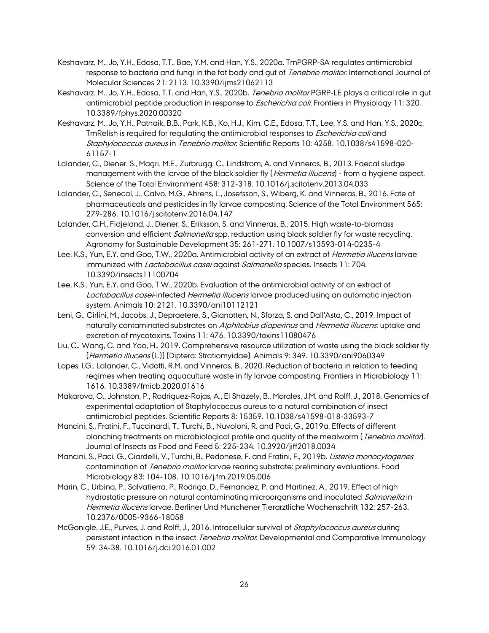- Keshavarz, M., Jo, Y.H., Edosa, T.T., Bae, Y.M. and Han, Y.S., 2020a. TmPGRP-SA regulates antimicrobial response to bacteria and fungi in the fat body and gut of *Tenebrio molitor*. International Journal of Molecular Sciences 21: 2113. 10.3390/ijms21062113
- Keshavarz, M., Jo, Y.H., Edosa, T.T. and Han, Y.S., 2020b. Tenebrio molitor PGRP-LE plays a critical role in gut antimicrobial peptide production in response to *Escherichia coli*. Frontiers in Physiology 11: 320. 10.3389/fphys.2020.00320
- Keshavarz, M., Jo, Y.H., Patnaik, B.B., Park, K.B., Ko, H.J., Kim, C.E., Edosa, T.T., Lee, Y.S. and Han, Y.S., 2020c. TmRelish is required for regulating the antimicrobial responses to *Escherichia coli* and Staphylococcus aureus in Tenebrio molitor. Scientific Reports 10: 4258. 10.1038/s41598-020- 61157-1
- Lalander, C., Diener, S., Magri, M.E., Zurbrugg, C., Lindstrom, A. and Vinneras, B., 2013. Faecal sludge management with the larvae of the black soldier fly (*Hermetia illucens*) - from a hygiene aspect. Science of the Total Environment 458: 312-318. 10.1016/j.scitotenv.2013.04.033
- Lalander, C., Senecal, J., Calvo, M.G., Ahrens, L., Josefsson, S., Wiberg, K. and Vinneras, B., 2016. Fate of pharmaceuticals and pesticides in fly larvae composting. Science of the Total Environment 565: 279-286. 10.1016/j.scitotenv.2016.04.147
- Lalander, C.H., Fidjeland, J., Diener, S., Eriksson, S. and Vinneras, B., 2015. High waste-to-biomass conversion and efficient *Salmonella* spp. reduction using black soldier fly for waste recycling. Agronomy for Sustainable Development 35: 261-271. 10.1007/s13593-014-0235-4
- Lee, K.S., Yun, E.Y. and Goo, T.W., 2020a. Antimicrobial activity of an extract of *Hermetia illucens* larvae immunized with *Lactobacillus casei* against *Salmonella* species. Insects 11:704. 10.3390/insects11100704
- Lee, K.S., Yun, E.Y. and Goo, T.W., 2020b. Evaluation of the antimicrobial activity of an extract of Lactobacillus casei-infected Hermetia illucens larvae produced using an automatic injection system. Animals 10: 2121. 10.3390/ani10112121
- Leni, G., Cirlini, M., Jacobs, J., Depraetere, S., Gianotten, N., Sforza, S. and Dall'Asta, C., 2019. Impact of naturally contaminated substrates on Alphitobius diaperinus and Hermetia illucens. uptake and excretion of mycotoxins. Toxins 11: 476. 10.3390/toxins11080476
- Liu, C., Wang, C. and Yao, H., 2019. Comprehensive resource utilization of waste using the black soldier fly (Hermetia illucens (L.)) (Diptera: Stratiomyidae). Animals 9: 349. 10.3390/ani9060349
- Lopes, I.G., Lalander, C., Vidotti, R.M. and Vinneras, B., 2020. Reduction of bacteria in relation to feeding regimes when treating aquaculture waste in fly larvae composting. Frontiers in Microbiology 11: 1616. 10.3389/fmicb.2020.01616
- Makarova, O., Johnston, P., Rodriguez-Rojas, A., El Shazely, B., Morales, J.M. and Rolff, J., 2018. Genomics of experimental adaptation of Staphylococcus aureus to a natural combination of insect antimicrobial peptides. Scientific Reports 8: 15359. 10.1038/s41598-018-33593-7
- Mancini, S., Fratini, F., Tuccinardi, T., Turchi, B., Nuvoloni, R. and Paci, G., 2019a. Effects of different blanching treatments on microbiological profile and quality of the mealworm (*Tenebrio molitor*). Journal of Insects as Food and Feed 5: 225-234. 10.3920/jiff2018.0034
- Mancini, S., Paci, G., Ciardelli, V., Turchi, B., Pedonese, F. and Fratini, F., 2019b. Listeria monocytogenes contamination of Tenebrio molitor larvae rearing substrate: preliminary evaluations. Food Microbiology 83: 104-108. 10.1016/j.fm.2019.05.006
- Marin, C., Urbina, P., Salvatierra, P., Rodrigo, D., Fernandez, P. and Martinez, A., 2019. Effect of high hydrostatic pressure on natural contaminating microorganisms and inoculated Salmonella in Hermetia illucens larvae. Berliner Und Munchener Tierarztliche Wochenschrift 132: 257-263. 10.2376/0005-9366-18058
- McGonigle, J.E., Purves, J. and Rolff, J., 2016. Intracellular survival of Staphylococcus aureus during persistent infection in the insect Tenebrio molitor. Developmental and Comparative Immunology 59: 34-38. 10.1016/j.dci.2016.01.002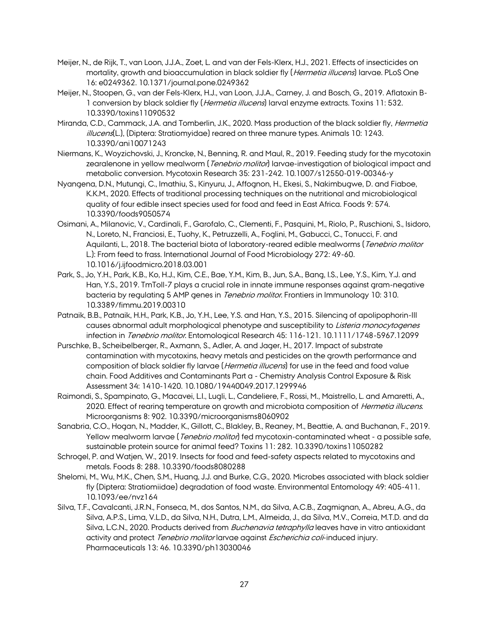- Meijer, N., de Rijk, T., van Loon, J.J.A., Zoet, L. and van der Fels-Klerx, H.J., 2021. Effects of insecticides on mortality, growth and bioaccumulation in black soldier fly (*Hermetia illucens*) larvae. PLoS One 16: e0249362. 10.1371/journal.pone.0249362
- Meijer, N., Stoopen, G., van der Fels-Klerx, H.J., van Loon, J.J.A., Carney, J. and Bosch, G., 2019. Aflatoxin B-1 conversion by black soldier fly (*Hermetia illucens*) larval enzyme extracts. Toxins 11: 532. 10.3390/toxins11090532
- Miranda, C.D., Cammack, J.A. and Tomberlin, J.K., 2020. Mass production of the black soldier fly, *Hermetia* illucens(L.), (Diptera: Stratiomyidae) reared on three manure types. Animals 10: 1243. 10.3390/ani10071243
- Niermans, K., Woyzichovski, J., Kroncke, N., Benning, R. and Maul, R., 2019. Feeding study for the mycotoxin zearalenone in yellow mealworm (*Tenebrio molitor*) larvae-investigation of biological impact and metabolic conversion. Mycotoxin Research 35: 231-242. 10.1007/s12550-019-00346-y
- Nyangena, D.N., Mutungi, C., Imathiu, S., Kinyuru, J., Affognon, H., Ekesi, S., Nakimbugwe, D. and Fiaboe, K.K.M., 2020. Effects of traditional processing techniques on the nutritional and microbiological quality of four edible insect species used for food and feed in East Africa. Foods 9: 574. 10.3390/foods9050574
- Osimani, A., Milanovic, V., Cardinali, F., Garofalo, C., Clementi, F., Pasquini, M., Riolo, P., Ruschioni, S., Isidoro, N., Loreto, N., Franciosi, E., Tuohy, K., Petruzzelli, A., Foglini, M., Gabucci, C., Tonucci, F. and Aquilanti, L., 2018. The bacterial biota of laboratory-reared edible mealworms (Tenebrio molitor L.): From feed to frass. International Journal of Food Microbiology 272: 49-60. 10.1016/j.ijfoodmicro.2018.03.001
- Park, S., Jo, Y.H., Park, K.B., Ko, H.J., Kim, C.E., Bae, Y.M., Kim, B., Jun, S.A., Bang, I.S., Lee, Y.S., Kim, Y.J. and Han, Y.S., 2019. TmToll-7 plays a crucial role in innate immune responses against gram-negative bacteria by regulating 5 AMP genes in *Tenebrio molitor*. Frontiers in Immunology 10: 310. 10.3389/fimmu.2019.00310
- Patnaik, B.B., Patnaik, H.H., Park, K.B., Jo, Y.H., Lee, Y.S. and Han, Y.S., 2015. Silencing of apolipophorin-III causes abnormal adult morphological phenotype and susceptibility to Listeria monocytogenes infection in Tenebrio molitor. Entomological Research 45: 116-121. 10.1111/1748-5967.12099
- Purschke, B., Scheibelberger, R., Axmann, S., Adler, A. and Jager, H., 2017. Impact of substrate contamination with mycotoxins, heavy metals and pesticides on the growth performance and composition of black soldier fly larvae (*Hermetia illucens*) for use in the feed and food value chain. Food Additives and Contaminants Part a - Chemistry Analysis Control Exposure & Risk Assessment 34: 1410-1420. 10.1080/19440049.2017.1299946
- Raimondi, S., Spampinato, G., Macavei, L.I., Lugli, L., Candeliere, F., Rossi, M., Maistrello, L. and Amaretti, A., 2020. Effect of rearing temperature on growth and microbiota composition of *Hermetia illucens*. Microorganisms 8: 902. 10.3390/microorganisms8060902
- Sanabria, C.O., Hogan, N., Madder, K., Gillott, C., Blakley, B., Reaney, M., Beattie, A. and Buchanan, F., 2019. Yellow mealworm larvae (*Tenebrio molitor*) fed mycotoxin-contaminated wheat - a possible safe, sustainable protein source for animal feed? Toxins 11: 282. 10.3390/toxins11050282
- Schrogel, P. and Watjen, W., 2019. Insects for food and feed-safety aspects related to mycotoxins and metals. Foods 8: 288. 10.3390/foods8080288
- Shelomi, M., Wu, M.K., Chen, S.M., Huang, J.J. and Burke, C.G., 2020. Microbes associated with black soldier fly (Diptera: Stratiomiidae) degradation of food waste. Environmental Entomology 49: 405-411. 10.1093/ee/nvz164
- Silva, T.F., Cavalcanti, J.R.N., Fonseca, M., dos Santos, N.M., da Silva, A.C.B., Zagmignan, A., Abreu, A.G., da Silva, A.P.S., Lima, V.L.D., da Silva, N.H., Dutra, L.M., Almeida, J., da Silva, M.V., Correia, M.T.D. and da Silva, L.C.N., 2020. Products derived from *Buchenavia tetraphylla* leaves have in vitro antioxidant activity and protect Tenebrio molitor larvae against Escherichia coli-induced injury. Pharmaceuticals 13: 46. 10.3390/ph13030046